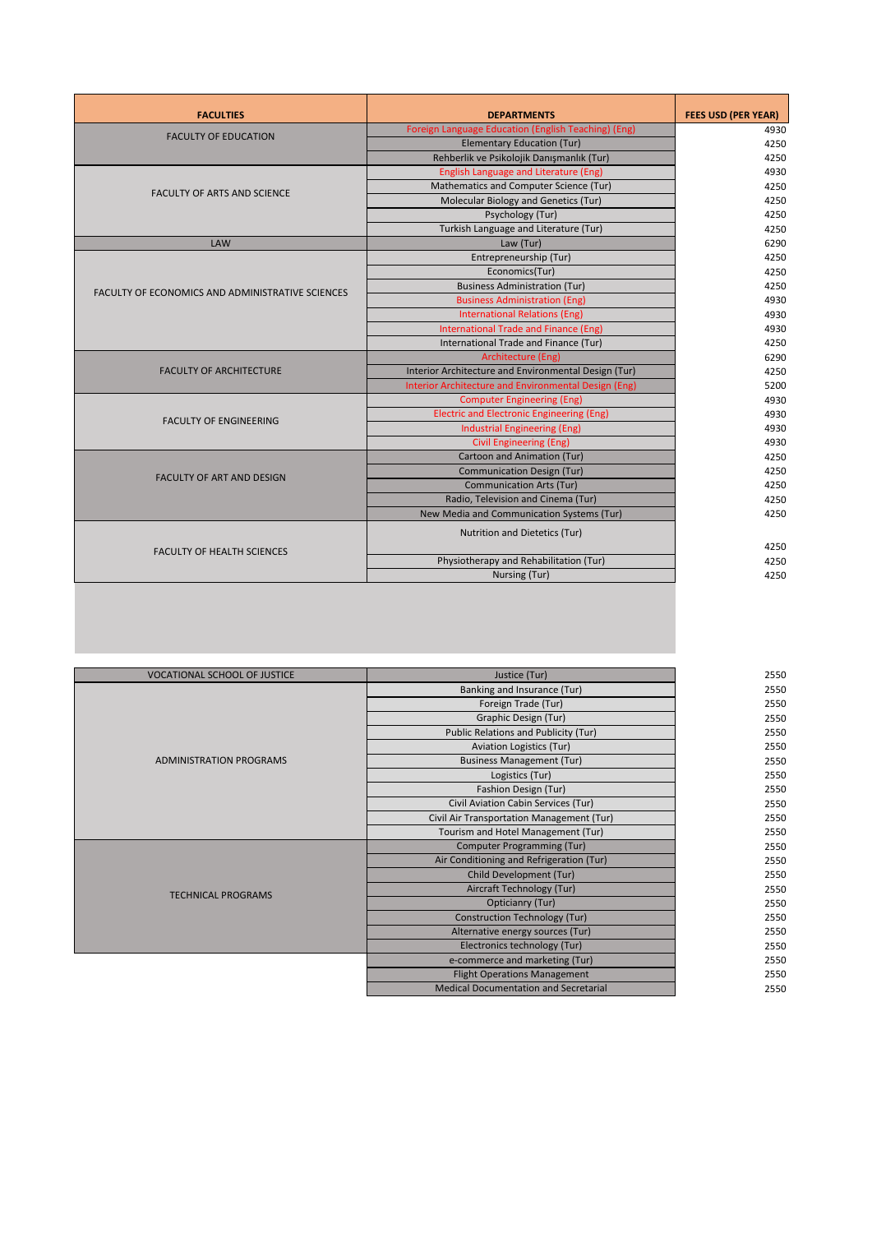| <b>FACULTIES</b>                                        | <b>DEPARTMENTS</b>                                   | <b>FEES USD (PER YEAR)</b> |
|---------------------------------------------------------|------------------------------------------------------|----------------------------|
| <b>FACULTY OF EDUCATION</b>                             | Foreign Language Education (English Teaching) (Eng)  | 4930                       |
|                                                         | <b>Elementary Education (Tur)</b>                    | 4250                       |
|                                                         | Rehberlik ve Psikolojik Danışmanlık (Tur)            | 4250                       |
|                                                         | <b>English Language and Literature (Eng)</b>         | 4930                       |
| <b>FACULTY OF ARTS AND SCIENCE</b>                      | Mathematics and Computer Science (Tur)               | 4250                       |
|                                                         | Molecular Biology and Genetics (Tur)                 | 4250                       |
|                                                         | Psychology (Tur)                                     | 4250                       |
|                                                         | Turkish Language and Literature (Tur)                | 4250                       |
| <b>LAW</b>                                              | Law (Tur)                                            | 6290                       |
|                                                         | Entrepreneurship (Tur)                               | 4250                       |
|                                                         | Economics(Tur)                                       | 4250                       |
| <b>FACULTY OF ECONOMICS AND ADMINISTRATIVE SCIENCES</b> | <b>Business Administration (Tur)</b>                 | 4250                       |
|                                                         | <b>Business Administration (Eng)</b>                 | 4930                       |
|                                                         | <b>International Relations (Eng)</b>                 | 4930                       |
|                                                         | International Trade and Finance (Eng)                | 4930                       |
|                                                         | International Trade and Finance (Tur)                | 4250                       |
|                                                         | Architecture (Eng)                                   | 6290                       |
| <b>FACULTY OF ARCHITECTURE</b>                          | Interior Architecture and Environmental Design (Tur) | 4250                       |
|                                                         | Interior Architecture and Environmental Design (Eng) | 5200                       |
|                                                         | <b>Computer Engineering (Eng)</b>                    | 4930                       |
|                                                         | <b>Electric and Electronic Engineering (Eng)</b>     | 4930                       |
| <b>FACULTY OF ENGINEERING</b>                           | <b>Industrial Engineering (Eng)</b>                  | 4930                       |
|                                                         | <b>Civil Engineering (Eng)</b>                       | 4930                       |
|                                                         | Cartoon and Animation (Tur)                          | 4250                       |
| <b>FACULTY OF ART AND DESIGN</b>                        | <b>Communication Design (Tur)</b>                    | 4250                       |
|                                                         | <b>Communication Arts (Tur)</b>                      | 4250                       |
|                                                         | Radio, Television and Cinema (Tur)                   | 4250                       |
|                                                         | New Media and Communication Systems (Tur)            | 4250                       |
| <b>FACULTY OF HEALTH SCIENCES</b>                       | Nutrition and Dietetics (Tur)                        |                            |
|                                                         |                                                      | 4250                       |
|                                                         | Physiotherapy and Rehabilitation (Tur)               | 4250                       |
|                                                         | Nursing (Tur)                                        | 4250                       |
|                                                         |                                                      |                            |

| <b>VOCATIONAL SCHOOL OF JUSTICE</b> | Justice (Tur)                                | 2550 |
|-------------------------------------|----------------------------------------------|------|
| <b>ADMINISTRATION PROGRAMS</b>      | Banking and Insurance (Tur)                  | 2550 |
|                                     | Foreign Trade (Tur)                          | 2550 |
|                                     | Graphic Design (Tur)                         | 2550 |
|                                     | Public Relations and Publicity (Tur)         | 2550 |
|                                     | <b>Aviation Logistics (Tur)</b>              | 2550 |
|                                     | <b>Business Management (Tur)</b>             | 2550 |
|                                     | Logistics (Tur)                              | 2550 |
|                                     | Fashion Design (Tur)                         | 2550 |
|                                     | Civil Aviation Cabin Services (Tur)          | 2550 |
|                                     | Civil Air Transportation Management (Tur)    | 2550 |
|                                     | Tourism and Hotel Management (Tur)           | 2550 |
| <b>TECHNICAL PROGRAMS</b>           | Computer Programming (Tur)                   | 2550 |
|                                     | Air Conditioning and Refrigeration (Tur)     | 2550 |
|                                     | Child Development (Tur)                      | 2550 |
|                                     | Aircraft Technology (Tur)                    | 2550 |
|                                     | Opticianry (Tur)                             | 2550 |
|                                     | <b>Construction Technology (Tur)</b>         | 2550 |
|                                     | Alternative energy sources (Tur)             | 2550 |
|                                     | Electronics technology (Tur)                 | 2550 |
|                                     | e-commerce and marketing (Tur)               | 2550 |
|                                     | <b>Flight Operations Management</b>          | 2550 |
|                                     | <b>Medical Documentation and Secretarial</b> | 2550 |
|                                     |                                              |      |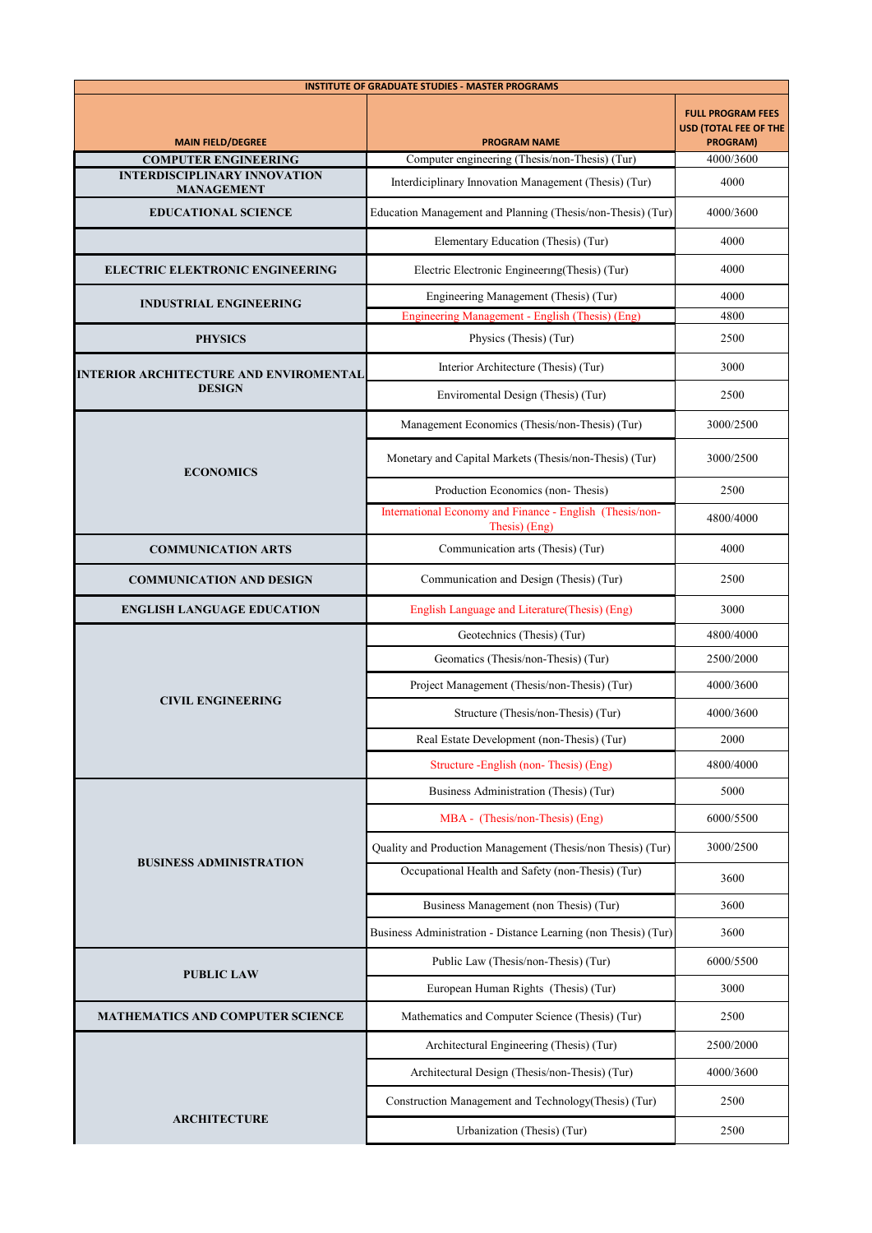| <b>INSTITUTE OF GRADUATE STUDIES - MASTER PROGRAMS</b>   |                                                                           |                                                               |
|----------------------------------------------------------|---------------------------------------------------------------------------|---------------------------------------------------------------|
| <b>MAIN FIELD/DEGREE</b>                                 | <b>PROGRAM NAME</b>                                                       | <b>FULL PROGRAM FEES</b><br>USD (TOTAL FEE OF THE<br>PROGRAM) |
| <b>COMPUTER ENGINEERING</b>                              | Computer engineering (Thesis/non-Thesis) (Tur)                            | 4000/3600                                                     |
| <b>INTERDISCIPLINARY INNOVATION</b><br><b>MANAGEMENT</b> | Interdiciplinary Innovation Management (Thesis) (Tur)                     | 4000                                                          |
| <b>EDUCATIONAL SCIENCE</b>                               | Education Management and Planning (Thesis/non-Thesis) (Tur)               | 4000/3600                                                     |
|                                                          | Elementary Education (Thesis) (Tur)                                       | 4000                                                          |
| <b>ELECTRIC ELEKTRONIC ENGINEERING</b>                   | Electric Electronic Engineering(Thesis) (Tur)                             | 4000                                                          |
| <b>INDUSTRIAL ENGINEERING</b>                            | Engineering Management (Thesis) (Tur)                                     | 4000                                                          |
|                                                          | Engineering Management - English (Thesis) (Eng)                           | 4800                                                          |
| <b>PHYSICS</b>                                           | Physics (Thesis) (Tur)                                                    | 2500                                                          |
| <b>INTERIOR ARCHITECTURE AND ENVIROMENTAL</b>            | Interior Architecture (Thesis) (Tur)                                      | 3000                                                          |
| <b>DESIGN</b>                                            | Enviromental Design (Thesis) (Tur)                                        | 2500                                                          |
|                                                          | Management Economics (Thesis/non-Thesis) (Tur)                            | 3000/2500                                                     |
| <b>ECONOMICS</b>                                         | Monetary and Capital Markets (Thesis/non-Thesis) (Tur)                    | 3000/2500                                                     |
|                                                          | Production Economics (non-Thesis)                                         | 2500                                                          |
|                                                          | International Economy and Finance - English (Thesis/non-<br>Thesis) (Eng) | 4800/4000                                                     |
| <b>COMMUNICATION ARTS</b>                                | Communication arts (Thesis) (Tur)                                         | 4000                                                          |
| <b>COMMUNICATION AND DESIGN</b>                          | Communication and Design (Thesis) (Tur)                                   | 2500                                                          |
| <b>ENGLISH LANGUAGE EDUCATION</b>                        | English Language and Literature(Thesis) (Eng)                             | 3000                                                          |
|                                                          | Geotechnics (Thesis) (Tur)                                                | 4800/4000                                                     |
|                                                          | Geomatics (Thesis/non-Thesis) (Tur)                                       | 2500/2000                                                     |
|                                                          | Project Management (Thesis/non-Thesis) (Tur)                              | 4000/3600                                                     |
| <b>CIVIL ENGINEERING</b>                                 | Structure (Thesis/non-Thesis) (Tur)                                       | 4000/3600                                                     |
|                                                          | Real Estate Development (non-Thesis) (Tur)                                | 2000                                                          |
|                                                          | Structure - English (non-Thesis) (Eng)                                    | 4800/4000                                                     |
|                                                          | Business Administration (Thesis) (Tur)                                    | 5000                                                          |
| <b>BUSINESS ADMINISTRATION</b>                           | MBA - (Thesis/non-Thesis) (Eng)                                           | 6000/5500                                                     |
|                                                          | Quality and Production Management (Thesis/non Thesis) (Tur)               | 3000/2500                                                     |
|                                                          | Occupational Health and Safety (non-Thesis) (Tur)                         | 3600                                                          |
|                                                          | Business Management (non Thesis) (Tur)                                    | 3600                                                          |
|                                                          | Business Administration - Distance Learning (non Thesis) (Tur)            | 3600                                                          |
|                                                          | Public Law (Thesis/non-Thesis) (Tur)                                      | 6000/5500                                                     |
| <b>PUBLIC LAW</b>                                        | European Human Rights (Thesis) (Tur)                                      | 3000                                                          |
| <b>MATHEMATICS AND COMPUTER SCIENCE</b>                  | Mathematics and Computer Science (Thesis) (Tur)                           | 2500                                                          |
|                                                          | Architectural Engineering (Thesis) (Tur)                                  | 2500/2000                                                     |
|                                                          | Architectural Design (Thesis/non-Thesis) (Tur)                            | 4000/3600                                                     |
|                                                          | Construction Management and Technology(Thesis) (Tur)                      | 2500                                                          |
| <b>ARCHITECTURE</b>                                      | Urbanization (Thesis) (Tur)                                               | 2500                                                          |